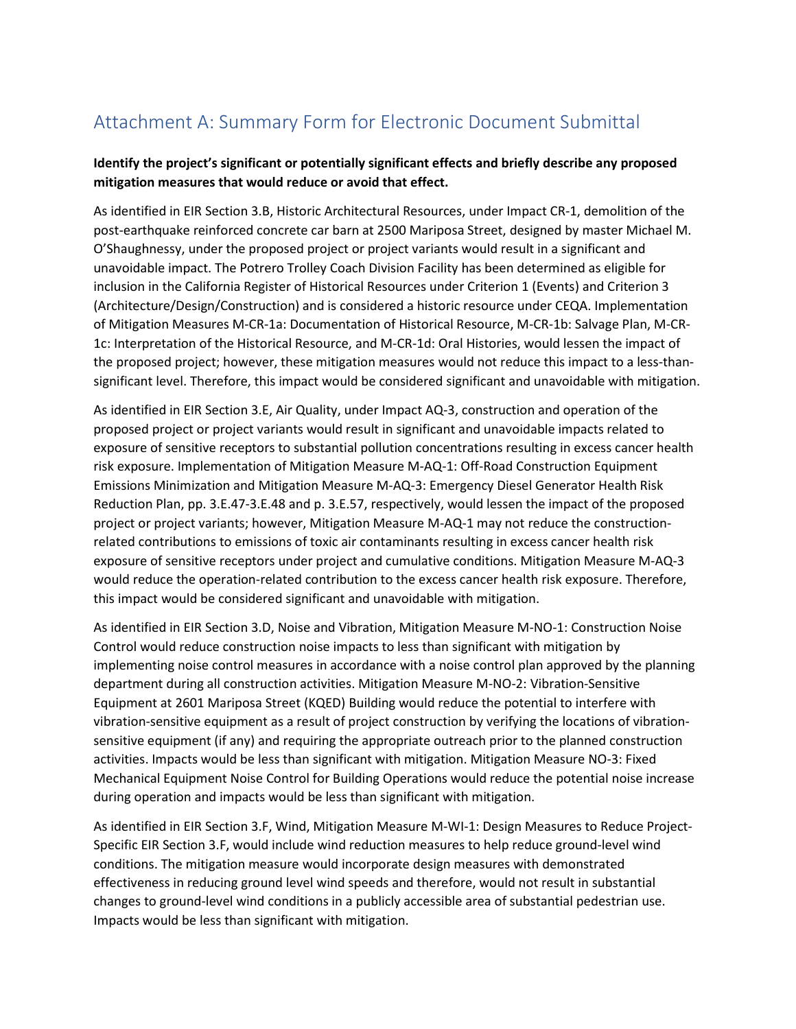## Attachment A: Summary Form for Electronic Document Submittal

## Identify the project's significant or potentially significant effects and briefly describe any proposed mitigation measures that would reduce or avoid that effect.

As identified in EIR Section 3.B, Historic Architectural Resources, under Impact CR-1, demolition of the post-earthquake reinforced concrete car barn at 2500 Mariposa Street, designed by master Michael M. O'Shaughnessy, under the proposed project or project variants would result in a significant and unavoidable impact. The Potrero Trolley Coach Division Facility has been determined as eligible for inclusion in the California Register of Historical Resources under Criterion 1 (Events) and Criterion 3 (Architecture/Design/Construction) and is considered a historic resource under CEQA. Implementation of Mitigation Measures M-CR-1a: Documentation of Historical Resource, M-CR-1b: Salvage Plan, M-CR-1c: Interpretation of the Historical Resource, and M-CR-1d: Oral Histories, would lessen the impact of the proposed project; however, these mitigation measures would not reduce this impact to a less-thansignificant level. Therefore, this impact would be considered significant and unavoidable with mitigation.

As identified in EIR Section 3.E, Air Quality, under Impact AQ-3, construction and operation of the proposed project or project variants would result in significant and unavoidable impacts related to exposure of sensitive receptors to substantial pollution concentrations resulting in excess cancer health risk exposure. Implementation of Mitigation Measure M-AQ-1: Off-Road Construction Equipment Emissions Minimization and Mitigation Measure M-AQ-3: Emergency Diesel Generator Health Risk Reduction Plan, pp. 3.E.47-3.E.48 and p. 3.E.57, respectively, would lessen the impact of the proposed project or project variants; however, Mitigation Measure M-AQ-1 may not reduce the constructionrelated contributions to emissions of toxic air contaminants resulting in excess cancer health risk exposure of sensitive receptors under project and cumulative conditions. Mitigation Measure M-AQ-3 would reduce the operation-related contribution to the excess cancer health risk exposure. Therefore, this impact would be considered significant and unavoidable with mitigation.

As identified in EIR Section 3.D, Noise and Vibration, Mitigation Measure M-NO-1: Construction Noise Control would reduce construction noise impacts to less than significant with mitigation by implementing noise control measures in accordance with a noise control plan approved by the planning department during all construction activities. Mitigation Measure M-NO-2: Vibration-Sensitive Equipment at 2601 Mariposa Street (KQED) Building would reduce the potential to interfere with vibration-sensitive equipment as a result of project construction by verifying the locations of vibrationsensitive equipment (if any) and requiring the appropriate outreach prior to the planned construction activities. Impacts would be less than significant with mitigation. Mitigation Measure NO-3: Fixed Mechanical Equipment Noise Control for Building Operations would reduce the potential noise increase during operation and impacts would be less than significant with mitigation.

As identified in EIR Section 3.F, Wind, Mitigation Measure M-WI-1: Design Measures to Reduce Project-Specific EIR Section 3.F, would include wind reduction measures to help reduce ground-level wind conditions. The mitigation measure would incorporate design measures with demonstrated effectiveness in reducing ground level wind speeds and therefore, would not result in substantial changes to ground-level wind conditions in a publicly accessible area of substantial pedestrian use. Impacts would be less than significant with mitigation.